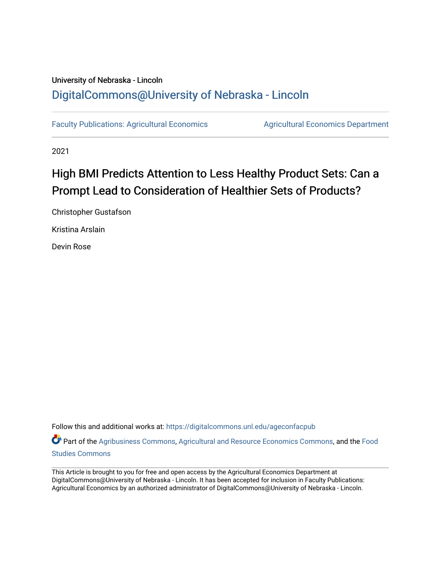# University of Nebraska - Lincoln [DigitalCommons@University of Nebraska - Lincoln](https://digitalcommons.unl.edu/)

[Faculty Publications: Agricultural Economics](https://digitalcommons.unl.edu/ageconfacpub) [Agricultural Economics Department](https://digitalcommons.unl.edu/ag_econ) 

2021

# High BMI Predicts Attention to Less Healthy Product Sets: Can a Prompt Lead to Consideration of Healthier Sets of Products?

Christopher Gustafson

Kristina Arslain

Devin Rose

Follow this and additional works at: [https://digitalcommons.unl.edu/ageconfacpub](https://digitalcommons.unl.edu/ageconfacpub?utm_source=digitalcommons.unl.edu%2Fageconfacpub%2F234&utm_medium=PDF&utm_campaign=PDFCoverPages)

Part of the [Agribusiness Commons,](http://network.bepress.com/hgg/discipline/1051?utm_source=digitalcommons.unl.edu%2Fageconfacpub%2F234&utm_medium=PDF&utm_campaign=PDFCoverPages) [Agricultural and Resource Economics Commons,](http://network.bepress.com/hgg/discipline/317?utm_source=digitalcommons.unl.edu%2Fageconfacpub%2F234&utm_medium=PDF&utm_campaign=PDFCoverPages) and the [Food](http://network.bepress.com/hgg/discipline/1386?utm_source=digitalcommons.unl.edu%2Fageconfacpub%2F234&utm_medium=PDF&utm_campaign=PDFCoverPages) [Studies Commons](http://network.bepress.com/hgg/discipline/1386?utm_source=digitalcommons.unl.edu%2Fageconfacpub%2F234&utm_medium=PDF&utm_campaign=PDFCoverPages) 

This Article is brought to you for free and open access by the Agricultural Economics Department at DigitalCommons@University of Nebraska - Lincoln. It has been accepted for inclusion in Faculty Publications: Agricultural Economics by an authorized administrator of DigitalCommons@University of Nebraska - Lincoln.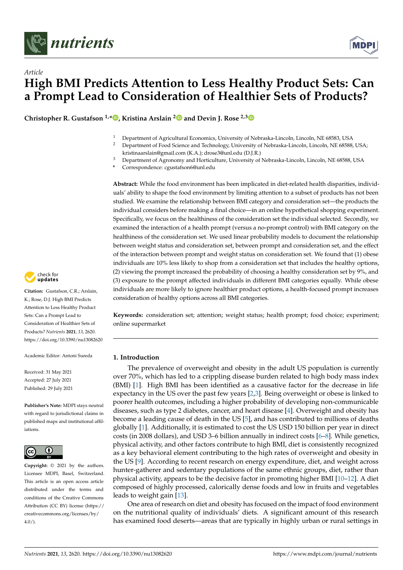



**Christopher R. Gustafson**  $1, *$  $1, *$  **D**, Kristina Arslain<sup>[2](https://orcid.org/0000-0001-6243-4216)</sup> **D** and Devin J. Rose  $2,3$  $2,3$  **D** 

- <sup>1</sup> Department of Agricultural Economics, University of Nebraska-Lincoln, Lincoln, NE 68583, USA<br><sup>2</sup> Department of Eood Science and Technology University of Nebraska-Lincoln, Lincoln, NE 68588
- <sup>2</sup> Department of Food Science and Technology, University of Nebraska-Lincoln, Lincoln, NE 68588, USA; kristinaarslain@gmail.com (K.A.); drose3@unl.edu (D.J.R.)
- <sup>3</sup> Department of Agronomy and Horticulture, University of Nebraska-Lincoln, Lincoln, NE 68588, USA
- **\*** Correspondence: cgustafson6@unl.edu

**Abstract:** While the food environment has been implicated in diet-related health disparities, individuals' ability to shape the food environment by limiting attention to a subset of products has not been studied. We examine the relationship between BMI category and consideration set—the products the individual considers before making a final choice—in an online hypothetical shopping experiment. Specifically, we focus on the healthiness of the consideration set the individual selected. Secondly, we examined the interaction of a health prompt (versus a no-prompt control) with BMI category on the healthiness of the consideration set. We used linear probability models to document the relationship between weight status and consideration set, between prompt and consideration set, and the effect of the interaction between prompt and weight status on consideration set. We found that (1) obese individuals are 10% less likely to shop from a consideration set that includes the healthy options, (2) viewing the prompt increased the probability of choosing a healthy consideration set by 9%, and (3) exposure to the prompt affected individuals in different BMI categories equally. While obese individuals are more likely to ignore healthier product options, a health-focused prompt increases consideration of healthy options across all BMI categories.

**Keywords:** consideration set; attention; weight status; health prompt; food choice; experiment; online supermarket

#### **1. Introduction**

The prevalence of overweight and obesity in the adult US population is currently over 70%, which has led to a crippling disease burden related to high body mass index (BMI) [\[1\]](#page-11-0). High BMI has been identified as a causative factor for the decrease in life expectancy in the US over the past few years [\[2,](#page-11-1)[3\]](#page-11-2). Being overweight or obese is linked to poorer health outcomes, including a higher probability of developing non-communicable diseases, such as type 2 diabetes, cancer, and heart disease [\[4\]](#page-11-3). Overweight and obesity has become a leading cause of death in the US [\[5\]](#page-11-4), and has contributed to millions of deaths globally [\[1\]](#page-11-0). Additionally, it is estimated to cost the US USD 150 billion per year in direct costs (in 2008 dollars), and USD 3–6 billion annually in indirect costs [\[6–](#page-11-5)[8\]](#page-11-6). While genetics, physical activity, and other factors contribute to high BMI, diet is consistently recognized as a key behavioral element contributing to the high rates of overweight and obesity in the US [\[9\]](#page-11-7). According to recent research on energy expenditure, diet, and weight across hunter-gatherer and sedentary populations of the same ethnic groups, diet, rather than physical activity, appears to be the decisive factor in promoting higher BMI [\[10–](#page-11-8)[12\]](#page-11-9). A diet composed of highly processed, calorically dense foods and low in fruits and vegetables leads to weight gain [\[13\]](#page-11-10).

One area of research on diet and obesity has focused on the impact of food environment on the nutritional quality of individuals' diets. A significant amount of this research has examined food deserts—areas that are typically in highly urban or rural settings in



**Citation:** Gustafson, C.R.; Arslain, K.; Rose, D.J. High BMI Predicts Attention to Less Healthy Product Sets: Can a Prompt Lead to Consideration of Healthier Sets of Products? *Nutrients* **2021**, *13*, 2620. <https://doi.org/10.3390/nu13082620>

Academic Editor: Antoni Sureda

Received: 31 May 2021 Accepted: 27 July 2021 Published: 29 July 2021

**Publisher's Note:** MDPI stays neutral with regard to jurisdictional claims in published maps and institutional affiliations.



**Copyright:** © 2021 by the authors. Licensee MDPI, Basel, Switzerland. This article is an open access article distributed under the terms and conditions of the Creative Commons Attribution (CC BY) license (https:/[/](https://creativecommons.org/licenses/by/4.0/) [creativecommons.org/licenses/by/](https://creativecommons.org/licenses/by/4.0/)  $4.0/$ ).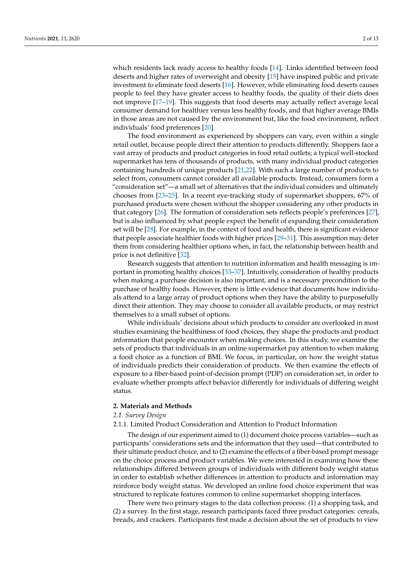which residents lack ready access to healthy foods [\[14\]](#page-11-11). Links identified between food deserts and higher rates of overweight and obesity [\[15\]](#page-11-12) have inspired public and private investment to eliminate food deserts [\[16\]](#page-11-13). However, while eliminating food deserts causes people to feel they have greater access to healthy foods, the quality of their diets does not improve [\[17](#page-12-0)[–19\]](#page-12-1). This suggests that food deserts may actually reflect average local consumer demand for healthier versus less healthy foods, and that higher average BMIs in those areas are not caused by the environment but, like the food environment, reflect individuals' food preferences [\[20\]](#page-12-2).

The food environment as experienced by shoppers can vary, even within a single retail outlet, because people direct their attention to products differently. Shoppers face a vast array of products and product categories in food retail outlets; a typical well-stocked supermarket has tens of thousands of products, with many individual product categories containing hundreds of unique products [\[21](#page-12-3)[,22\]](#page-12-4). With such a large number of products to select from, consumers cannot consider all available products. Instead, consumers form a "consideration set"—a small set of alternatives that the individual considers and ultimately chooses from [\[23–](#page-12-5)[25\]](#page-12-6). In a recent eye-tracking study of supermarket shoppers, 67% of purchased products were chosen without the shopper considering any other products in that category [\[26\]](#page-12-7). The formation of consideration sets reflects people's preferences [\[27\]](#page-12-8), but is also influenced by what people expect the benefit of expanding their consideration set will be [\[28\]](#page-12-9). For example, in the context of food and health, there is significant evidence that people associate healthier foods with higher prices [\[29–](#page-12-10)[31\]](#page-12-11). This assumption may deter them from considering healthier options when, in fact, the relationship between health and price is not definitive [\[32\]](#page-12-12).

Research suggests that attention to nutrition information and health messaging is important in promoting healthy choices [\[33–](#page-12-13)[37\]](#page-12-14). Intuitively, consideration of healthy products when making a purchase decision is also important, and is a necessary precondition to the purchase of healthy foods. However, there is little evidence that documents how individuals attend to a large array of product options when they have the ability to purposefully direct their attention. They may choose to consider all available products, or may restrict themselves to a small subset of options.

While individuals' decisions about which products to consider are overlooked in most studies examining the healthiness of food choices, they shape the products and product information that people encounter when making choices. In this study, we examine the sets of products that individuals in an online supermarket pay attention to when making a food choice as a function of BMI. We focus, in particular, on how the weight status of individuals predicts their consideration of products. We then examine the effects of exposure to a fiber-based point-of-decision prompt (PDP) on consideration set, in order to evaluate whether prompts affect behavior differently for individuals of differing weight status.

#### **2. Materials and Methods**

#### *2.1. Survey Design*

#### 2.1.1. Limited Product Consideration and Attention to Product Information

The design of our experiment aimed to (1) document choice process variables—such as participants' considerations sets and the information that they used—that contributed to their ultimate product choice, and to (2) examine the effects of a fiber-based prompt message on the choice process and product variables. We were interested in examining how these relationships differed between groups of individuals with different body weight status in order to establish whether differences in attention to products and information may reinforce body weight status. We developed an online food choice experiment that was structured to replicate features common to online supermarket shopping interfaces.

There were two primary stages to the data collection process: (1) a shopping task, and (2) a survey. In the first stage, research participants faced three product categories: cereals, breads, and crackers. Participants first made a decision about the set of products to view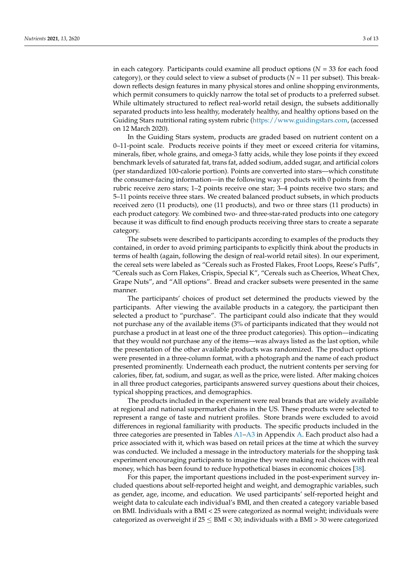in each category. Participants could examine all product options ( $N = 33$  for each food category), or they could select to view a subset of products ( $N = 11$  per subset). This breakdown reflects design features in many physical stores and online shopping environments, which permit consumers to quickly narrow the total set of products to a preferred subset. While ultimately structured to reflect real-world retail design, the subsets additionally separated products into less healthy, moderately healthy, and healthy options based on the Guiding Stars nutritional rating system rubric [\(https://www.guidingstars.com,](https://www.guidingstars.com) (accessed on 12 March 2020).

In the Guiding Stars system, products are graded based on nutrient content on a 0–11-point scale. Products receive points if they meet or exceed criteria for vitamins, minerals, fiber, whole grains, and omega-3 fatty acids, while they lose points if they exceed benchmark levels of saturated fat, trans fat, added sodium, added sugar, and artificial colors (per standardized 100-calorie portion). Points are converted into stars—which constitute the consumer-facing information—in the following way: products with 0 points from the rubric receive zero stars; 1–2 points receive one star; 3–4 points receive two stars; and 5–11 points receive three stars. We created balanced product subsets, in which products received zero (11 products), one (11 products), and two or three stars (11 products) in each product category. We combined two- and three-star-rated products into one category because it was difficult to find enough products receiving three stars to create a separate category.

The subsets were described to participants according to examples of the products they contained, in order to avoid priming participants to explicitly think about the products in terms of health (again, following the design of real-world retail sites). In our experiment, the cereal sets were labeled as "Cereals such as Frosted Flakes, Froot Loops, Reese's Puffs", "Cereals such as Corn Flakes, Crispix, Special K", "Cereals such as Cheerios, Wheat Chex, Grape Nuts", and "All options". Bread and cracker subsets were presented in the same manner.

The participants' choices of product set determined the products viewed by the participants. After viewing the available products in a category, the participant then selected a product to "purchase". The participant could also indicate that they would not purchase any of the available items (3% of participants indicated that they would not purchase a product in at least one of the three product categories). This option—indicating that they would not purchase any of the items—was always listed as the last option, while the presentation of the other available products was randomized. The product options were presented in a three-column format, with a photograph and the name of each product presented prominently. Underneath each product, the nutrient contents per serving for calories, fiber, fat, sodium, and sugar, as well as the price, were listed. After making choices in all three product categories, participants answered survey questions about their choices, typical shopping practices, and demographics.

The products included in the experiment were real brands that are widely available at regional and national supermarket chains in the US. These products were selected to represent a range of taste and nutrient profiles. Store brands were excluded to avoid differences in regional familiarity with products. The specific products included in the three categories are presented in Tables [A1–](#page-9-0)[A3](#page-10-0) in Appendix [A.](#page-8-0) Each product also had a price associated with it, which was based on retail prices at the time at which the survey was conducted. We included a message in the introductory materials for the shopping task experiment encouraging participants to imagine they were making real choices with real money, which has been found to reduce hypothetical biases in economic choices [\[38\]](#page-12-15).

For this paper, the important questions included in the post-experiment survey included questions about self-reported height and weight, and demographic variables, such as gender, age, income, and education. We used participants' self-reported height and weight data to calculate each individual's BMI, and then created a category variable based on BMI. Individuals with a BMI < 25 were categorized as normal weight; individuals were categorized as overweight if  $25 \leq BMI < 30$ ; individuals with a BMI > 30 were categorized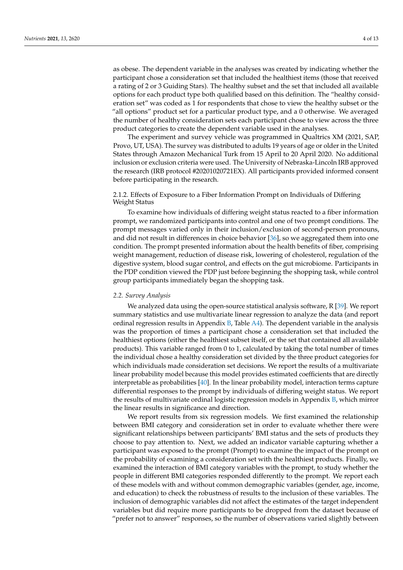as obese. The dependent variable in the analyses was created by indicating whether the participant chose a consideration set that included the healthiest items (those that received a rating of 2 or 3 Guiding Stars). The healthy subset and the set that included all available options for each product type both qualified based on this definition. The "healthy consideration set" was coded as 1 for respondents that chose to view the healthy subset or the "all options" product set for a particular product type, and a 0 otherwise. We averaged the number of healthy consideration sets each participant chose to view across the three product categories to create the dependent variable used in the analyses.

The experiment and survey vehicle was programmed in Qualtrics XM (2021, SAP, Provo, UT, USA). The survey was distributed to adults 19 years of age or older in the United States through Amazon Mechanical Turk from 15 April to 20 April 2020. No additional inclusion or exclusion criteria were used. The University of Nebraska-Lincoln IRB approved the research (IRB protocol #20201020721EX). All participants provided informed consent before participating in the research.

### 2.1.2. Effects of Exposure to a Fiber Information Prompt on Individuals of Differing Weight Status

To examine how individuals of differing weight status reacted to a fiber information prompt, we randomized participants into control and one of two prompt conditions. The prompt messages varied only in their inclusion/exclusion of second-person pronouns, and did not result in differences in choice behavior [\[36\]](#page-12-16), so we aggregated them into one condition. The prompt presented information about the health benefits of fiber, comprising weight management, reduction of disease risk, lowering of cholesterol, regulation of the digestive system, blood sugar control, and effects on the gut microbiome. Participants in the PDP condition viewed the PDP just before beginning the shopping task, while control group participants immediately began the shopping task.

#### *2.2. Survey Analysis*

We analyzed data using the open-source statistical analysis software,  $R$  [\[39\]](#page-12-17). We report summary statistics and use multivariate linear regression to analyze the data (and report ordinal regression results in Appendix [B,](#page-11-14) Table [A4\)](#page-11-15). The dependent variable in the analysis was the proportion of times a participant chose a consideration set that included the healthiest options (either the healthiest subset itself, or the set that contained all available products). This variable ranged from 0 to 1, calculated by taking the total number of times the individual chose a healthy consideration set divided by the three product categories for which individuals made consideration set decisions. We report the results of a multivariate linear probability model because this model provides estimated coefficients that are directly interpretable as probabilities [\[40\]](#page-12-18). In the linear probability model, interaction terms capture differential responses to the prompt by individuals of differing weight status. We report the results of multivariate ordinal logistic regression models in Appendix [B,](#page-11-14) which mirror the linear results in significance and direction.

We report results from six regression models. We first examined the relationship between BMI category and consideration set in order to evaluate whether there were significant relationships between participants' BMI status and the sets of products they choose to pay attention to. Next, we added an indicator variable capturing whether a participant was exposed to the prompt (Prompt) to examine the impact of the prompt on the probability of examining a consideration set with the healthiest products. Finally, we examined the interaction of BMI category variables with the prompt, to study whether the people in different BMI categories responded differently to the prompt. We report each of these models with and without common demographic variables (gender, age, income, and education) to check the robustness of results to the inclusion of these variables. The inclusion of demographic variables did not affect the estimates of the target independent variables but did require more participants to be dropped from the dataset because of "prefer not to answer" responses, so the number of observations varied slightly between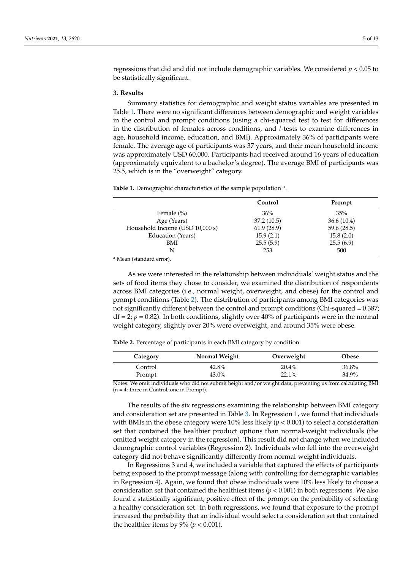regressions that did and did not include demographic variables. We considered *p* < 0.05 to be statistically significant.

#### **3. Results**

Summary statistics for demographic and weight status variables are presented in Table [1.](#page-5-0) There were no significant differences between demographic and weight variables in the control and prompt conditions (using a chi-squared test to test for differences in the distribution of females across conditions, and *t*-tests to examine differences in age, household income, education, and BMI). Approximately 36% of participants were female. The average age of participants was 37 years, and their mean household income was approximately USD 60,000. Participants had received around 16 years of education (approximately equivalent to a bachelor's degree). The average BMI of participants was 25.5, which is in the "overweight" category.

<span id="page-5-0"></span>Table 1. Demographic characteristics of the sample population<sup>a</sup>.

|                                 | Control    | Prompt      |
|---------------------------------|------------|-------------|
| Female $(\% )$                  | 36%        | 35%         |
| Age (Years)                     | 37.2(10.5) | 36.6(10.4)  |
| Household Income (USD 10,000 s) | 61.9(28.9) | 59.6 (28.5) |
| Education (Years)               | 15.9(2.1)  | 15.8(2.0)   |
| BMI                             | 25.5(5.9)  | 25.5(6.9)   |
| N                               | 253        | 500         |

<sup>a</sup> Mean (standard error).

As we were interested in the relationship between individuals' weight status and the sets of food items they chose to consider, we examined the distribution of respondents across BMI categories (i.e., normal weight, overweight, and obese) for the control and prompt conditions (Table [2\)](#page-5-1). The distribution of participants among BMI categories was not significantly different between the control and prompt conditions (Chi-squared = 0.387;  $df = 2$ ;  $p = 0.82$ ). In both conditions, slightly over 40% of participants were in the normal weight category, slightly over 20% were overweight, and around 35% were obese.

<span id="page-5-1"></span>**Table 2.** Percentage of participants in each BMI category by condition.

| Category | Normal Weight | Overweight | Obese |
|----------|---------------|------------|-------|
| Control  | 42.8%         | 20.4%      | 36.8% |
| Prompt   | 43.0%         | 22.1%      | 34.9% |

Notes: We omit individuals who did not submit height and/or weight data, preventing us from calculating BMI  $(n = 4:$  three in Control; one in Prompt).

The results of the six regressions examining the relationship between BMI category and consideration set are presented in Table [3.](#page-6-0) In Regression 1, we found that individuals with BMIs in the obese category were  $10\%$  less likely ( $p < 0.001$ ) to select a consideration set that contained the healthier product options than normal-weight individuals (the omitted weight category in the regression). This result did not change when we included demographic control variables (Regression 2). Individuals who fell into the overweight category did not behave significantly differently from normal-weight individuals.

In Regressions 3 and 4, we included a variable that captured the effects of participants being exposed to the prompt message (along with controlling for demographic variables in Regression 4). Again, we found that obese individuals were 10% less likely to choose a consideration set that contained the healthiest items ( $p < 0.001$ ) in both regressions. We also found a statistically significant, positive effect of the prompt on the probability of selecting a healthy consideration set. In both regressions, we found that exposure to the prompt increased the probability that an individual would select a consideration set that contained the healthier items by  $9\%$  ( $p < 0.001$ ).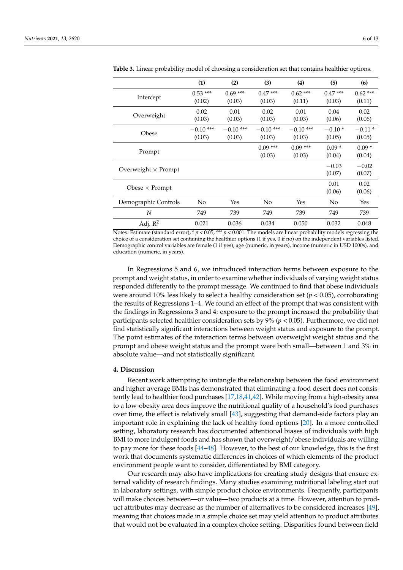|                            | (1)                   | (2)                   | (3)                   | (4)                   | (5)                 | (6)                  |
|----------------------------|-----------------------|-----------------------|-----------------------|-----------------------|---------------------|----------------------|
| Intercept                  | $0.53***$<br>(0.02)   | $0.69***$<br>(0.03)   | $0.47***$<br>(0.03)   | $0.62***$<br>(0.11)   | $0.47***$<br>(0.03) | $0.62$ ***<br>(0.11) |
| Overweight                 | 0.02<br>(0.03)        | 0.01<br>(0.03)        | 0.02<br>(0.03)        | 0.01<br>(0.03)        | 0.04<br>(0.06)      | 0.02<br>(0.06)       |
| Obese                      | $-0.10$ ***<br>(0.03) | $-0.10$ ***<br>(0.03) | $-0.10$ ***<br>(0.03) | $-0.10$ ***<br>(0.03) | $-0.10*$<br>(0.05)  | $-0.11*$<br>(0.05)   |
| Prompt                     |                       |                       | $0.09***$<br>(0.03)   | $0.09***$<br>(0.03)   | $0.09*$<br>(0.04)   | $0.09*$<br>(0.04)    |
| Overweight $\times$ Prompt |                       |                       |                       |                       | $-0.03$<br>(0.07)   | $-0.02$<br>(0.07)    |
| Obese $\times$ Prompt      |                       |                       |                       |                       | 0.01<br>(0.06)      | 0.02<br>(0.06)       |
| Demographic Controls       | No                    | Yes                   | No                    | Yes                   | No                  | Yes                  |
| N                          | 749                   | 739                   | 749                   | 739                   | 749                 | 739                  |
| Adj. $R^2$                 | 0.021                 | 0.036                 | 0.034                 | 0.050                 | 0.032               | 0.048                |

<span id="page-6-0"></span>**Table 3.** Linear probability model of choosing a consideration set that contains healthier options.

Notes: Estimate (standard error); \* *p* < 0.05, \*\*\* *p* < 0.001. The models are linear probability models regressing the choice of a consideration set containing the healthier options (1 if yes, 0 if no) on the independent variables listed. Demographic control variables are female (1 if yes), age (numeric, in years), income (numeric in USD 1000s), and education (numeric, in years).

In Regressions 5 and 6, we introduced interaction terms between exposure to the prompt and weight status, in order to examine whether individuals of varying weight status responded differently to the prompt message. We continued to find that obese individuals were around 10% less likely to select a healthy consideration set (*p* < 0.05), corroborating the results of Regressions 1–4. We found an effect of the prompt that was consistent with the findings in Regressions 3 and 4: exposure to the prompt increased the probability that participants selected healthier consideration sets by 9% (*p* < 0.05). Furthermore, we did not find statistically significant interactions between weight status and exposure to the prompt. The point estimates of the interaction terms between overweight weight status and the prompt and obese weight status and the prompt were both small—between 1 and 3% in absolute value—and not statistically significant.

#### **4. Discussion**

Recent work attempting to untangle the relationship between the food environment and higher average BMIs has demonstrated that eliminating a food desert does not consistently lead to healthier food purchases [\[17,](#page-12-0)[18,](#page-12-19)[41](#page-12-20)[,42\]](#page-12-21). While moving from a high-obesity area to a low-obesity area does improve the nutritional quality of a household's food purchases over time, the effect is relatively small [\[43\]](#page-12-22), suggesting that demand-side factors play an important role in explaining the lack of healthy food options [\[20\]](#page-12-2). In a more controlled setting, laboratory research has documented attentional biases of individuals with high BMI to more indulgent foods and has shown that overweight/obese individuals are willing to pay more for these foods [\[44](#page-12-23)[–48\]](#page-13-0). However, to the best of our knowledge, this is the first work that documents systematic differences in choices of which elements of the product environment people want to consider, differentiated by BMI category.

Our research may also have implications for creating study designs that ensure external validity of research findings. Many studies examining nutritional labeling start out in laboratory settings, with simple product choice environments. Frequently, participants will make choices between—or value—two products at a time. However, attention to product attributes may decrease as the number of alternatives to be considered increases [\[49\]](#page-13-1), meaning that choices made in a simple choice set may yield attention to product attributes that would not be evaluated in a complex choice setting. Disparities found between field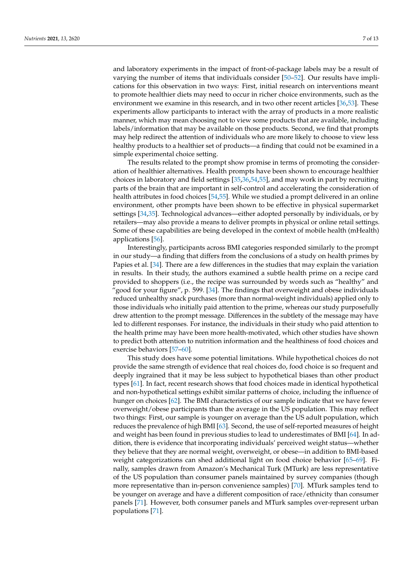and laboratory experiments in the impact of front-of-package labels may be a result of varying the number of items that individuals consider [\[50–](#page-13-2)[52\]](#page-13-3). Our results have implications for this observation in two ways: First, initial research on interventions meant to promote healthier diets may need to occur in richer choice environments, such as the environment we examine in this research, and in two other recent articles [\[36](#page-12-16)[,53\]](#page-13-4). These experiments allow participants to interact with the array of products in a more realistic manner, which may mean choosing not to view some products that are available, including labels/information that may be available on those products. Second, we find that prompts may help redirect the attention of individuals who are more likely to choose to view less healthy products to a healthier set of products—a finding that could not be examined in a simple experimental choice setting.

The results related to the prompt show promise in terms of promoting the consideration of healthier alternatives. Health prompts have been shown to encourage healthier choices in laboratory and field settings [\[35](#page-12-24)[,36,](#page-12-16)[54](#page-13-5)[,55\]](#page-13-6), and may work in part by recruiting parts of the brain that are important in self-control and accelerating the consideration of health attributes in food choices [\[54](#page-13-5)[,55\]](#page-13-6). While we studied a prompt delivered in an online environment, other prompts have been shown to be effective in physical supermarket settings [\[34](#page-12-25)[,35\]](#page-12-24). Technological advances—either adopted personally by individuals, or by retailers—may also provide a means to deliver prompts in physical or online retail settings. Some of these capabilities are being developed in the context of mobile health (mHealth) applications [\[56\]](#page-13-7).

Interestingly, participants across BMI categories responded similarly to the prompt in our study—a finding that differs from the conclusions of a study on health primes by Papies et al. [\[34\]](#page-12-25). There are a few differences in the studies that may explain the variation in results. In their study, the authors examined a subtle health prime on a recipe card provided to shoppers (i.e., the recipe was surrounded by words such as "healthy" and "good for your figure", p. 599. [\[34\]](#page-12-25). The findings that overweight and obese individuals reduced unhealthy snack purchases (more than normal-weight individuals) applied only to those individuals who initially paid attention to the prime, whereas our study purposefully drew attention to the prompt message. Differences in the subtlety of the message may have led to different responses. For instance, the individuals in their study who paid attention to the health prime may have been more health-motivated, which other studies have shown to predict both attention to nutrition information and the healthiness of food choices and exercise behaviors [\[57](#page-13-8)[–60\]](#page-13-9).

This study does have some potential limitations. While hypothetical choices do not provide the same strength of evidence that real choices do, food choice is so frequent and deeply ingrained that it may be less subject to hypothetical biases than other product types [\[61\]](#page-13-10). In fact, recent research shows that food choices made in identical hypothetical and non-hypothetical settings exhibit similar patterns of choice, including the influence of hunger on choices [\[62\]](#page-13-11). The BMI characteristics of our sample indicate that we have fewer overweight/obese participants than the average in the US population. This may reflect two things: First, our sample is younger on average than the US adult population, which reduces the prevalence of high BMI [\[63\]](#page-13-12). Second, the use of self-reported measures of height and weight has been found in previous studies to lead to underestimates of BMI [\[64\]](#page-13-13). In addition, there is evidence that incorporating individuals' perceived weight status—whether they believe that they are normal weight, overweight, or obese—in addition to BMI-based weight categorizations can shed additional light on food choice behavior [\[65](#page-13-14)[–69\]](#page-13-15). Finally, samples drawn from Amazon's Mechanical Turk (MTurk) are less representative of the US population than consumer panels maintained by survey companies (though more representative than in-person convenience samples) [\[70\]](#page-13-16). MTurk samples tend to be younger on average and have a different composition of race/ethnicity than consumer panels [\[71\]](#page-13-17). However, both consumer panels and MTurk samples over-represent urban populations [\[71\]](#page-13-17).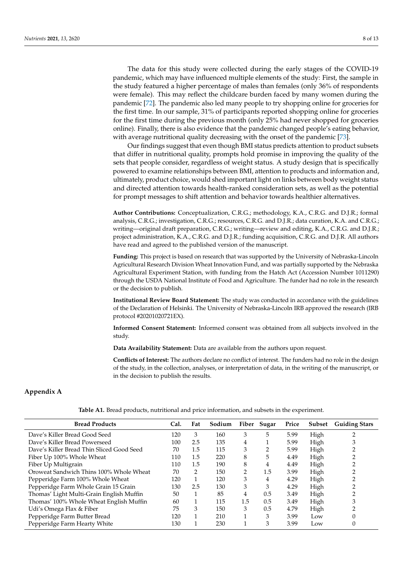The data for this study were collected during the early stages of the COVID-19 pandemic, which may have influenced multiple elements of the study: First, the sample in the study featured a higher percentage of males than females (only 36% of respondents were female). This may reflect the childcare burden faced by many women during the pandemic [\[72\]](#page-13-18). The pandemic also led many people to try shopping online for groceries for the first time. In our sample, 31% of participants reported shopping online for groceries for the first time during the previous month (only 25% had never shopped for groceries online). Finally, there is also evidence that the pandemic changed people's eating behavior, with average nutritional quality decreasing with the onset of the pandemic [\[73\]](#page-13-19).

Our findings suggest that even though BMI status predicts attention to product subsets that differ in nutritional quality, prompts hold promise in improving the quality of the sets that people consider, regardless of weight status. A study design that is specifically powered to examine relationships between BMI, attention to products and information and, ultimately, product choice, would shed important light on links between body weight status and directed attention towards health-ranked consideration sets, as well as the potential for prompt messages to shift attention and behavior towards healthier alternatives.

**Author Contributions:** Conceptualization, C.R.G.; methodology, K.A., C.R.G. and D.J.R.; formal analysis, C.R.G.; investigation, C.R.G.; resources, C.R.G. and D.J.R.; data curation, K.A. and C.R.G.; writing—original draft preparation, C.R.G.; writing—review and editing, K.A., C.R.G. and D.J.R.; project administration, K.A., C.R.G. and D.J.R.; funding acquisition, C.R.G. and D.J.R. All authors have read and agreed to the published version of the manuscript.

**Funding:** This project is based on research that was supported by the University of Nebraska-Lincoln Agricultural Research Division Wheat Innovation Fund, and was partially supported by the Nebraska Agricultural Experiment Station, with funding from the Hatch Act (Accession Number 1011290) through the USDA National Institute of Food and Agriculture. The funder had no role in the research or the decision to publish.

**Institutional Review Board Statement:** The study was conducted in accordance with the guidelines of the Declaration of Helsinki. The University of Nebraska-Lincoln IRB approved the research (IRB protocol #20201020721EX).

**Informed Consent Statement:** Informed consent was obtained from all subjects involved in the study.

**Data Availability Statement:** Data are available from the authors upon request.

**Conflicts of Interest:** The authors declare no conflict of interest. The funders had no role in the design of the study, in the collection, analyses, or interpretation of data, in the writing of the manuscript, or in the decision to publish the results.

# <span id="page-8-0"></span>**Appendix A**

| <b>Bread Products</b>                     | Cal. | Fat | Sodium |     | Fiber Sugar | Price | Subset | <b>Guiding Stars</b> |
|-------------------------------------------|------|-----|--------|-----|-------------|-------|--------|----------------------|
| Dave's Killer Bread Good Seed             | 120  | 3   | 160    | 3   | 5           | 5.99  | High   |                      |
| Dave's Killer Bread Powerseed             | 100  | 2.5 | 135    | 4   |             | 5.99  | High   | 3                    |
| Dave's Killer Bread Thin Sliced Good Seed | 70   | 1.5 | 115    | 3   |             | 5.99  | High   |                      |
| Fiber Up 100% Whole Wheat                 | 110  | 1.5 | 220    | 8   | 5           | 4.49  | High   |                      |
| Fiber Up Multigrain                       | 110  | 1.5 | 190    | 8   | 4           | 4.49  | High   |                      |
| Oroweat Sandwich Thins 100% Whole Wheat   | 70   | 2   | 150    | 2   | 1.5         | 3.99  | High   |                      |
| Pepperidge Farm 100% Whole Wheat          | 120  |     | 120    | 3   | 4           | 4.29  | High   |                      |
| Pepperidge Farm Whole Grain 15 Grain      | 130  | 2.5 | 130    | 3   | 3           | 4.29  | High   |                      |
| Thomas' Light Multi-Grain English Muffin  | 50   |     | 85     | 4   | 0.5         | 3.49  | High   |                      |
| Thomas' 100% Whole Wheat English Muffin   | 60   |     | 115    | 1.5 | 0.5         | 3.49  | High   |                      |
| Udi's Omega Flax & Fiber                  | 75   | 3   | 150    | 3   | 0.5         | 4.79  | High   |                      |
| Pepperidge Farm Butter Bread              | 120  |     | 210    | и   | 3           | 3.99  | Low    |                      |
| Pepperidge Farm Hearty White              | 130  |     | 230    |     | 3           | 3.99  | Low    | 0                    |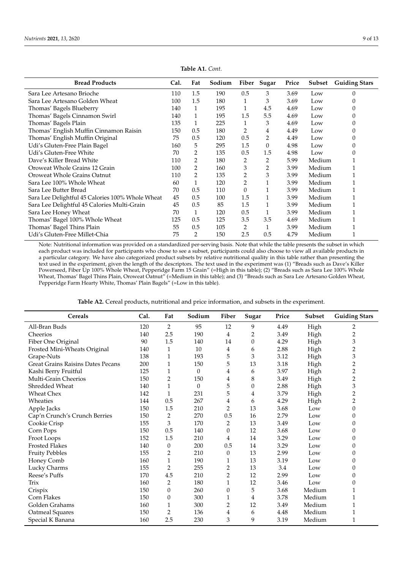<span id="page-9-0"></span>

| <b>Bread Products</b>                            | Cal. | Fat            | Sodium |              | Fiber Sugar    | Price | Subset | <b>Guiding Stars</b> |
|--------------------------------------------------|------|----------------|--------|--------------|----------------|-------|--------|----------------------|
| Sara Lee Artesano Brioche                        | 110  | 1.5            | 190    | 0.5          | 3              | 3.69  | Low    | $\Omega$             |
| Sara Lee Artesano Golden Wheat                   | 100  | 1.5            | 180    | 1            | 3              | 3.69  | Low    |                      |
| Thomas' Bagels Blueberry                         | 140  | $\mathbf{1}$   | 195    | $\mathbf{1}$ | 4.5            | 4.69  | Low    | 0                    |
| Thomas' Bagels Cinnamon Swirl                    | 140  | $\mathbf{1}$   | 195    | 1.5          | 5.5            | 4.69  | Low    | C                    |
| Thomas' Bagels Plain                             | 135  | 1              | 225    | 1            | 3              | 4.69  | Low    | 0                    |
| Thomas' English Muffin Cinnamon Raisin           | 150  | 0.5            | 180    | 2            | 4              | 4.49  | Low    |                      |
| Thomas' English Muffin Original                  | 75   | 0.5            | 120    | 0.5          | 2              | 4.49  | Low    | 0                    |
| Udi's Gluten-Free Plain Bagel                    | 160  | 5              | 295    | 1.5          | $\Omega$       | 4.98  | Low    | $\Omega$             |
| Udi's Gluten-Free White                          | 70   | 2              | 135    | 0.5          | 1.5            | 4.98  | Low    |                      |
| Dave's Killer Bread White                        | 110  | 2              | 180    | 2            | 2              | 5.99  | Medium |                      |
| Oroweat Whole Grains 12 Grain                    | 100  | $\overline{2}$ | 160    | 3            | $\overline{2}$ | 3.99  | Medium |                      |
| Oroweat Whole Grains Oatnut                      | 110  | 2              | 135    | 2            | 3              | 3.99  | Medium |                      |
| Sara Lee 100% Whole Wheat                        | 60   |                | 120    | 2            |                | 3.99  | Medium |                      |
| Sara Lee Butter Bread                            | 70   | 0.5            | 110    | $\theta$     |                | 3.99  | Medium |                      |
| Sara Lee Delightful 45 Calories 100% Whole Wheat | 45   | 0.5            | 100    | 1.5          |                | 3.99  | Medium |                      |
| Sara Lee Delightful 45 Calories Multi-Grain      | 45   | 0.5            | 85     | 1.5          |                | 3.99  | Medium |                      |
| Sara Lee Honey Wheat                             | 70   | $\mathbf{1}$   | 120    | 0.5          |                | 3.99  | Medium |                      |
| Thomas' Bagel 100% Whole Wheat                   | 125  | 0.5            | 125    | 3.5          | 3.5            | 4.69  | Medium |                      |
| Thomas' Bagel Thins Plain                        | 55   | 0.5            | 105    | 2            | 1              | 3.99  | Medium |                      |
| Udi's Gluten-Free Millet-Chia                    | 75   | 2              | 150    | 2.5          | 0.5            | 4.79  | Medium |                      |

Note: Nutritional information was provided on a standardized per-serving basis. Note that while the table presents the subset in which each product was included for participants who chose to see a subset, participants could also choose to view all available products in a particular category. We have also categorized product subsets by relative nutritional quality in this table rather than presenting the text used in the experiment, given the length of the descriptors. The text used in the experiment was (1) "Breads such as Dave's Killer Powerseed, Fiber Up 100% Whole Wheat, Pepperidge Farm 15 Grain" (=High in this table); (2) "Breads such as Sara Lee 100% Whole Wheat, Thomas' Bagel Thins Plain, Oroweat Oatnut" (=Medium in this table); and (3) "Breads such as Sara Lee Artesano Golden Wheat, Pepperidge Farm Hearty White, Thomas' Plain Bagels" (=Low in this table).

| <b>Table A2.</b> Cereal products, nutritional and price information, and subsets in the experiment. |  |  |
|-----------------------------------------------------------------------------------------------------|--|--|
|-----------------------------------------------------------------------------------------------------|--|--|

| <b>Cereals</b>                           | Cal. | Fat              | Sodium   | Fiber          | Sugar            | Price | Subset | <b>Guiding Stars</b>    |
|------------------------------------------|------|------------------|----------|----------------|------------------|-------|--------|-------------------------|
| All-Bran Buds                            | 120  | 2                | 95       | 12             | 9                | 4.49  | High   | 2                       |
| Cheerios                                 | 140  | 2.5              | 190      | 4              | $\overline{2}$   | 3.49  | High   | $\overline{c}$          |
| Fiber One Original                       | 90   | 1.5              | 140      | 14             | 0                | 4.29  | High   | 3                       |
| Frosted Mini-Wheats Original             | 140  | 1                | 10       | 4              | 6                | 2.88  | High   | 2                       |
| Grape-Nuts                               | 138  | 1                | 193      | 5              | 3                | 3.12  | High   | 3                       |
| <b>Great Grains Raisins Dates Pecans</b> | 200  | 1                | 150      | 5              | 13               | 3.18  | High   | $\overline{c}$          |
| Kashi Berry Fruitful                     | 125  | 1                | $\theta$ | 4              | 6                | 3.97  | High   | $\overline{c}$          |
| Multi-Grain Cheerios                     | 150  | 2                | 150      | 4              | 8                | 3.49  | High   | $\overline{c}$          |
| Shredded Wheat                           | 140  | 1                | $\theta$ | 5              | $\boldsymbol{0}$ | 2.88  | High   | 3                       |
| <b>Wheat Chex</b>                        | 142  | 1                | 231      | 5              | 4                | 3.79  | High   | $\overline{\mathbf{c}}$ |
| Wheaties                                 | 144  | 0.5              | 267      | 4              | 6                | 4.29  | High   | $\overline{c}$          |
| Apple Jacks                              | 150  | 1.5              | 210      | 2              | 13               | 3.68  | Low    | $\theta$                |
| Cap'n Crunch's Crunch Berries            | 150  | 2                | 270      | 0.5            | 16               | 2.79  | Low    | $\theta$                |
| Cookie Crisp                             | 155  | 3                | 170      | $\overline{2}$ | 13               | 3.49  | Low    | $\Omega$                |
| Corn Pops                                | 150  | 0.5              | 140      | $\mathbf{0}$   | 12               | 3.68  | Low    | 0                       |
| Froot Loops                              | 152  | 1.5              | 210      | 4              | 14               | 3.29  | Low    | $\Omega$                |
| <b>Frosted Flakes</b>                    | 140  | $\boldsymbol{0}$ | 200      | 0.5            | 14               | 3.29  | Low    | 0                       |
| <b>Fruity Pebbles</b>                    | 155  | 2                | 210      | $\mathbf{0}$   | 13               | 2.99  | Low    | $\Omega$                |
| Honey Comb                               | 160  | $\mathbf{1}$     | 190      | 1              | 13               | 3.19  | Low    | 0                       |
| Lucky Charms                             | 155  | $\overline{2}$   | 255      | 2              | 13               | 3.4   | Low    | 0                       |
| Reese's Puffs                            | 170  | 4.5              | 210      | 2              | 12               | 2.99  | Low    | 0                       |
| Trix                                     | 160  | 2                | 180      | 1              | 12               | 3.46  | Low    | 0                       |
| Crispix                                  | 150  | $\boldsymbol{0}$ | 260      | $\Omega$       | 5                | 3.68  | Medium |                         |
| Corn Flakes                              | 150  | 0                | 300      | 1              | 4                | 3.78  | Medium |                         |
| Golden Grahams                           | 160  | 1                | 300      | $\overline{2}$ | 12               | 3.49  | Medium | 1                       |
| Oatmeal Squares                          | 150  | $\overline{2}$   | 136      | 4              | 6                | 4.48  | Medium | 1                       |
| Special K Banana                         | 160  | 2.5              | 230      | 3              | 9                | 3.19  | Medium | 1                       |

**Table A1.** *Cont.*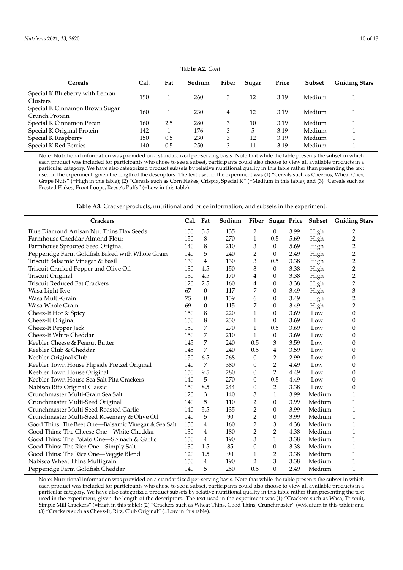| <b>Cereals</b>                                   | Cal. | Fat | Sodium | Fiber | Sugar | Price | Subset | <b>Guiding Stars</b> |
|--------------------------------------------------|------|-----|--------|-------|-------|-------|--------|----------------------|
| Special K Blueberry with Lemon<br>Clusters       | 150  |     | 260    | 3     | 12    | 3.19  | Medium |                      |
| Special K Cinnamon Brown Sugar<br>Crunch Protein | 160  |     | 230    | 4     | 12    | 3.19  | Medium |                      |
| Special K Cinnamon Pecan                         | 160  | 2.5 | 280    |       | 10    | 3.19  | Medium |                      |
| Special K Original Protein                       | 142  |     | 176    | 3     | 5     | 3.19  | Medium |                      |
| Special K Raspberry                              | 150  | 0.5 | 230    | 3     | 12    | 3.19  | Medium |                      |
| Special K Red Berries                            | 140  | 0.5 | 250    | 3     | 11    | 3.19  | Medium |                      |

**Table A2.** *Cont.*

Note: Nutritional information was provided on a standardized per-serving basis. Note that while the table presents the subset in which each product was included for participants who chose to see a subset, participants could also choose to view all available products in a particular category. We have also categorized product subsets by relative nutritional quality in this table rather than presenting the text used in the experiment, given the length of the descriptors. The text used in the experiment was (1) "Cereals such as Cheerios, Wheat Chex, Grape Nuts" (=High in this table); (2) "Cereals such as Corn Flakes, Crispix, Special K" (=Medium in this table); and (3) "Cereals such as Frosted Flakes, Froot Loops, Reese's Puffs" (=Low in this table).

| Table A3. Cracker products, nutritional and price information, and subsets in the experiment. |  |
|-----------------------------------------------------------------------------------------------|--|
|-----------------------------------------------------------------------------------------------|--|

<span id="page-10-0"></span>

| <b>Crackers</b>                                      | Cal. | Fat              | Sodium |                  |                |      | Fiber Sugar Price Subset | <b>Guiding Stars</b> |
|------------------------------------------------------|------|------------------|--------|------------------|----------------|------|--------------------------|----------------------|
| Blue Diamond Artisan Nut Thins Flax Seeds            | 130  | 3.5              | 135    | 2                | 0              | 3.99 | High                     | 2                    |
| Farmhouse Cheddar Almond Flour                       | 150  | 8                | 270    | 1                | 0.5            | 5.69 | High                     | $\overline{2}$       |
| Farmhouse Sprouted Seed Original                     | 140  | 8                | 210    | 3                | 0              | 5.69 | High                     | $\overline{c}$       |
| Pepperidge Farm Goldfish Baked with Whole Grain      | 140  | 5                | 240    | 2                | 0              | 2.49 | High                     | $\overline{c}$       |
| Triscuit Balsamic Vinegar & Basil                    | 130  | 4                | 130    | 3                | 0.5            | 3.38 | High                     | $\overline{2}$       |
| Triscuit Cracked Pepper and Olive Oil                | 130  | 4.5              | 150    | 3                | $\theta$       | 3.38 | High                     | $\overline{c}$       |
| Triscuit Original                                    | 130  | 4.5              | 170    | 4                | 0              | 3.38 | High                     | $\overline{2}$       |
| <b>Triscuit Reduced Fat Crackers</b>                 | 120  | 2.5              | 160    | 4                | 0              | 3.38 | High                     | $\overline{c}$       |
| Wasa Light Rye                                       | 67   | $\boldsymbol{0}$ | 117    | 7                | 0              | 3.49 | High                     | 3                    |
| Wasa Multi-Grain                                     | 75   | 0                | 139    | 6                | 0              | 3.49 | High                     | $\overline{2}$       |
| Wasa Whole Grain                                     | 69   | $\theta$         | 115    | 7                | 0              | 3.49 | High                     | $\overline{2}$       |
| Cheez-It Hot & Spicy                                 | 150  | 8                | 220    | 1                | 0              | 3.69 | Low                      | $\theta$             |
| Cheez-It Original                                    | 150  | 8                | 230    | 1                | 0              | 3.69 | Low                      | $\theta$             |
| Cheez-It Pepper Jack                                 | 150  | 7                | 270    | 1                | 0.5            | 3.69 | Low                      | $\theta$             |
| Cheez-It White Cheddar                               | 150  | 7                | 210    | 1                | 0              | 3.69 | Low                      | $\theta$             |
| Keebler Cheese & Peanut Butter                       | 145  | 7                | 240    | 0.5              | 3              | 3.59 | Low                      | 0                    |
| Keebler Club & Cheddar                               | 145  | 7                | 240    | 0.5              | 4              | 3.59 | Low                      | 0                    |
| Keebler Original Club                                | 150  | 6.5              | 268    | $\theta$         | 2              | 2.99 | Low                      | $\Omega$             |
| Keebler Town House Flipside Pretzel Original         | 140  | 7                | 380    | 0                | 2              | 4.49 | Low                      | $\Omega$             |
| Keebler Town House Original                          | 150  | 9.5              | 280    | 0                | $\overline{2}$ | 4.49 | Low                      | $\theta$             |
| Keebler Town House Sea Salt Pita Crackers            | 140  | 5                | 270    | $\theta$         | 0.5            | 4.49 | Low                      | $\theta$             |
| Nabisco Ritz Original Classic                        | 150  | 8.5              | 244    | 0                | 2              | 3.38 | Low                      | $\boldsymbol{0}$     |
| Crunchmaster Multi-Grain Sea Salt                    | 120  | 3                | 140    | 3                | $\mathbf{1}$   | 3.99 | Medium                   | $\mathbf{1}$         |
| Crunchmaster Multi-Seed Original                     | 140  | 5                | 110    | $\overline{2}$   | 0              | 3.99 | Medium                   | $\mathbf{1}$         |
| Crunchmaster Multi-Seed Roasted Garlic               | 140  | 5.5              | 135    | 2                | $\mathbf{0}$   | 3.99 | Medium                   | $\mathbf{1}$         |
| Crunchmaster Multi-Seed Rosemary & Olive Oil         | 140  | 5                | 90     | 2                | 0              | 3.99 | Medium                   | $\mathbf{1}$         |
| Good Thins: The Beet One-Balsamic Vinegar & Sea Salt | 130  | 4                | 160    | $\overline{2}$   | 3              | 4.38 | Medium                   | $\mathbf{1}$         |
| Good Thins: The Cheese One-White Cheddar             | 130  | 4                | 180    | 2                | 2              | 4.38 | Medium                   | $\mathbf{1}$         |
| Good Thins: The Potato One-Spinach & Garlic          | 130  | 4                | 190    | 3                | 1              | 3.38 | Medium                   | 1                    |
| Good Thins: The Rice One-Simply Salt                 | 130  | 1.5              | 85     | $\boldsymbol{0}$ | 0              | 3.38 | Medium                   | $\mathbf{1}$         |
| Good Thins: The Rice One-Veggie Blend                | 120  | 1.5              | 90     | 1                | 2              | 3.38 | Medium                   | $\mathbf{1}$         |
| Nabisco Wheat Thins Multigrain                       | 130  | 4                | 190    | 2                | 3              | 3.38 | Medium                   | $\mathbf{1}$         |
| Pepperidge Farm Goldfish Cheddar                     | 140  | 5                | 250    | 0.5              | 0              | 2.49 | Medium                   | 1                    |

Note: Nutritional information was provided on a standardized per-serving basis. Note that while the table presents the subset in which each product was included for participants who chose to see a subset, participants could also choose to view all available products in a particular category. We have also categorized product subsets by relative nutritional quality in this table rather than presenting the text used in the experiment, given the length of the descriptors. The text used in the experiment was (1) "Crackers such as Wasa, Triscuit, Simple Mill Crackers" (=High in this table); (2) "Crackers such as Wheat Thins, Good Thins, Crunchmaster" (=Medium in this table); and (3) "Crackers such as Cheez-It, Ritz, Club Original" (=Low in this table).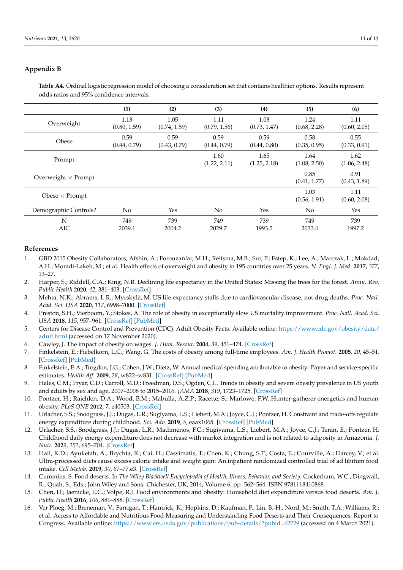# <span id="page-11-15"></span><span id="page-11-14"></span>**Appendix B**

**Table A4.** Ordinal logistic regression model of choosing a consideration set that contains healthier options. Results represent odds ratios and 95% confidence intervals.

|                            | (1)                  | (2)                  | (3)                  | (4)                  | (5)                  | (6)                  |
|----------------------------|----------------------|----------------------|----------------------|----------------------|----------------------|----------------------|
| Overweight                 | 1.13<br>(0.80, 1.59) | 1.05<br>(0.74, 1.59) | 1.11<br>(0.79, 1.56) | 1.03<br>(0.73, 1.47) | 1.24<br>(0.68, 2.28) | 1.11<br>(0.60, 2.05) |
| Obese                      | 0.59<br>(0.44, 0.79) | 0.59<br>(0.43, 0.79) | 0.59<br>(0.44, 0.79) | 0.59<br>(0.44, 0.80) | 0.58<br>(0.35, 0.95) | 0.55<br>(0.33, 0.91) |
| Prompt                     |                      |                      | 1.60<br>(1.22, 2.11) | 1.65<br>(1.25, 2.18) | 1.64<br>(1.08, 2.50) | 1.62<br>(1.06, 2.48) |
| Overweight $\times$ Prompt |                      |                      |                      |                      | 0.85<br>(0.41, 1.77) | 0.91<br>(0.43, 1.89) |
| Obese $\times$ Prompt      |                      |                      |                      |                      | 1.03<br>(0.56, 1.91) | 1.11<br>(0.60, 2.08) |
| Demographic Controls?      | No                   | Yes                  | N <sub>o</sub>       | Yes                  | N <sub>0</sub>       | Yes                  |
| N<br>AIC                   | 749<br>2039.1        | 739<br>2004.2        | 749<br>2029.7        | 739<br>1993.5        | 749<br>2033.4        | 739<br>1997.2        |

# **References**

- <span id="page-11-0"></span>1. GBD 2015 Obesity Collaborators; Afshin, A.; Forouzanfar, M.H.; Reitsma, M.B.; Sur, P.; Estep, K.; Lee, A.; Marczak, L.; Mokdad, A.H.; Moradi-Lakeh, M.; et al. Health effects of overweight and obesity in 195 countries over 25 years. *N. Engl. J. Med.* **2017**, *377*, 13–27.
- <span id="page-11-1"></span>2. Harper, S.; Riddell, C.A.; King, N.B. Declining life expectancy in the United States: Missing the trees for the forest. *Annu. Rev. Public Health* **2020**, *42*, 381–403. [\[CrossRef\]](http://doi.org/10.1146/annurev-publhealth-082619-104231)
- <span id="page-11-2"></span>3. Mehta, N.K.; Abrams, L.R.; Myrskylä, M. US life expectancy stalls due to cardiovascular disease, not drug deaths. *Proc. Natl. Acad. Sci. USA* **2020**, *117*, 6998–7000. [\[CrossRef\]](http://doi.org/10.1073/pnas.1920391117)
- <span id="page-11-3"></span>4. Preston, S.H.; Vierboom, Y.; Stokes, A. The role of obesity in exceptionally slow US mortality improvement. *Proc. Natl. Acad. Sci. USA* **2018**, *115*, 957–961. [\[CrossRef\]](http://doi.org/10.1073/pnas.1716802115) [\[PubMed\]](http://www.ncbi.nlm.nih.gov/pubmed/29339511)
- <span id="page-11-4"></span>5. Centers for Disease Control and Prevention (CDC). Adult Obesity Facts. Available online: [https://www.cdc.gov/obesity/data/](https://www.cdc.gov/obesity/data/adult.html) [adult.html](https://www.cdc.gov/obesity/data/adult.html) (accessed on 17 November 2020).
- <span id="page-11-5"></span>6. Cawley, J. The impact of obesity on wages. *J. Hum. Resour.* **2004**, *39*, 451–474. [\[CrossRef\]](http://doi.org/10.2307/3559022)
- 7. Finkelstein, E.; Fiebelkorn, L.C.; Wang, G. The costs of obesity among full-time employees. *Am. J. Health Promot.* **2005**, *20*, 45–51. [\[CrossRef\]](http://doi.org/10.4278/0890-1171-20.1.45) [\[PubMed\]](http://www.ncbi.nlm.nih.gov/pubmed/16171161)
- <span id="page-11-6"></span>8. Finkelstein, E.A.; Trogdon, J.G.; Cohen, J.W.; Dietz, W. Annual medical spending attributable to obesity: Payer and service-specific estimates. *Health Aff.* **2009**, *28*, w822–w831. [\[CrossRef\]](http://doi.org/10.1377/hlthaff.28.5.w822) [\[PubMed\]](http://www.ncbi.nlm.nih.gov/pubmed/19635784)
- <span id="page-11-7"></span>9. Hales, C.M.; Fryar, C.D.; Carroll, M.D.; Freedman, D.S.; Ogden, C.L. Trends in obesity and severe obesity prevalence in US youth and adults by sex and age, 2007–2008 to 2015–2016. *JAMA* **2018**, *319*, 1723–1725. [\[CrossRef\]](http://doi.org/10.1001/jama.2018.3060)
- <span id="page-11-8"></span>10. Pontzer, H.; Raichlen, D.A.; Wood, B.M.; Mabulla, A.Z.P.; Racette, S.; Marlowe, F.W. Hunter-gatherer energetics and human obesity. *PLoS ONE* **2012**, *7*, e40503. [\[CrossRef\]](http://doi.org/10.1371/journal.pone.0040503)
- 11. Urlacher, S.S.; Snodgrass, J.J.; Dugas, L.R.; Sugiyama, L.S.; Liebert, M.A.; Joyce, C.J.; Pontzer, H. Constraint and trade-offs regulate energy expenditure during childhood. *Sci. Adv.* **2019**, *5*, eaax1065. [\[CrossRef\]](http://doi.org/10.1126/sciadv.aax1065) [\[PubMed\]](http://www.ncbi.nlm.nih.gov/pubmed/32064311)
- <span id="page-11-9"></span>12. Urlacher, S.S.; Snodgrass, J.J.; Dugas, L.R.; Madimenos, F.C.; Sugiyama, L.S.; Liebert, M.A.; Joyce, C.J.; Terán, E.; Pontzer, H. Childhood daily energy expenditure does not decrease with market integration and is not related to adiposity in Amazonia. *J. Nutr.* **2021**, *151*, 695–704. [\[CrossRef\]](http://doi.org/10.1093/jn/nxaa361)
- <span id="page-11-10"></span>13. Hall, K.D.; Ayuketah, A.; Brychta, R.; Cai, H.; Cassimatis, T.; Chen, K.; Chung, S.T.; Costa, E.; Courville, A.; Darcey, V.; et al. Ultra-processed diets cause excess calorie intake and weight gain: An inpatient randomized controlled trial of ad libitum food intake. *Cell Metab.* **2019**, *30*, 67–77.e3. [\[CrossRef\]](http://doi.org/10.1016/j.cmet.2019.05.008)
- <span id="page-11-11"></span>14. Cummins, S. Food deserts. In *The Wiley Blackwell Encyclopedia of Health, Illness, Behavior, and Society*; Cockerham, W.C., Dingwall, R., Quah, S., Eds.; John Wiley and Sons: Chichester, UK, 2014; Volume 6, pp. 562–564. ISBN 9781118410868.
- <span id="page-11-12"></span>15. Chen, D.; Jaenicke, E.C.; Volpe, R.J. Food environments and obesity: Household diet expenditure versus food deserts. *Am. J. Public Health* **2016**, *106*, 881–888. [\[CrossRef\]](http://doi.org/10.2105/AJPH.2016.303048)
- <span id="page-11-13"></span>16. Ver Ploeg, M.; Breneman, V.; Farrigan, T.; Hamrick, K.; Hopkins, D.; Kaufman, P.; Lin, B.-H.; Nord, M.; Smith, T.A.; Williams, R.; et al. Access to Affordable and Nutritious Food-Measuring and Understanding Food Deserts and Their Consequences: Report to Congress. Available online: <https://www.ers.usda.gov/publications/pub-details/?pubid=42729> (accessed on 4 March 2021).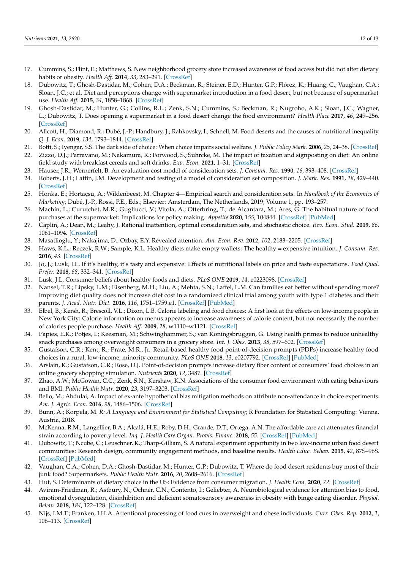- <span id="page-12-0"></span>17. Cummins, S.; Flint, E.; Matthews, S. New neighborhood grocery store increased awareness of food access but did not alter dietary habits or obesity. *Health Aff.* **2014**, *33*, 283–291. [\[CrossRef\]](http://doi.org/10.1377/hlthaff.2013.0512)
- <span id="page-12-19"></span>18. Dubowitz, T.; Ghosh-Dastidar, M.; Cohen, D.A.; Beckman, R.; Steiner, E.D.; Hunter, G.P.; Flórez, K.; Huang, C.; Vaughan, C.A.; Sloan, J.C.; et al. Diet and perceptions change with supermarket introduction in a food desert, but not because of supermarket use. *Health Aff.* **2015**, *34*, 1858–1868. [\[CrossRef\]](http://doi.org/10.1377/hlthaff.2015.0667)
- <span id="page-12-1"></span>19. Ghosh-Dastidar, M.; Hunter, G.; Collins, R.L.; Zenk, S.N.; Cummins, S.; Beckman, R.; Nugroho, A.K.; Sloan, J.C.; Wagner, L.; Dubowitz, T. Does opening a supermarket in a food desert change the food environment? *Health Place* **2017**, *46*, 249–256. [\[CrossRef\]](http://doi.org/10.1016/j.healthplace.2017.06.002)
- <span id="page-12-2"></span>20. Allcott, H.; Diamond, R.; Dubé, J.-P.; Handbury, J.; Rahkovsky, I.; Schnell, M. Food deserts and the causes of nutritional inequality. *Q. J. Econ.* **2019**, *134*, 1793–1844. [\[CrossRef\]](http://doi.org/10.1093/qje/qjz015)
- <span id="page-12-3"></span>21. Botti, S.; Iyengar, S.S. The dark side of choice: When choice impairs social welfare. *J. Public Policy Mark.* **2006**, *25*, 24–38. [\[CrossRef\]](http://doi.org/10.1509/jppm.25.1.24)
- <span id="page-12-4"></span>22. Zizzo, D.J.; Parravano, M.; Nakamura, R.; Forwood, S.; Suhrcke, M. The impact of taxation and signposting on diet: An online field study with breakfast cereals and soft drinks. *Exp. Econ.* **2021**, 1–31. [\[CrossRef\]](http://doi.org/10.1007/s10683-020-09698-0)
- <span id="page-12-5"></span>23. Hauser, J.R.; Wernerfelt, B. An evaluation cost model of consideration sets. *J. Consum. Res.* **1990**, *16*, 393–408. [\[CrossRef\]](http://doi.org/10.1086/209225)
- 24. Roberts, J.H.; Lattin, J.M. Development and testing of a model of consideration set composition. *J. Mark. Res.* **1991**, *28*, 429–440. [\[CrossRef\]](http://doi.org/10.1177/002224379102800405)
- <span id="page-12-6"></span>25. Honka, E.; Hortaçsu, A.; Wildenbeest, M. Chapter 4—Empirical search and consideration sets. In *Handbook of the Economics of Marketing*; Dubé, J.-P., Rossi, P.E., Eds.; Elsevier: Amsterdam, The Netherlands, 2019; Volume 1, pp. 193–257.
- <span id="page-12-7"></span>26. Machín, L.; Curutchet, M.R.; Gugliucci, V.; Vitola, A.; Otterbring, T.; de Alcantara, M.; Ares, G. The habitual nature of food purchases at the supermarket: Implications for policy making. *Appetite* **2020**, *155*, 104844. [\[CrossRef\]](http://doi.org/10.1016/j.appet.2020.104844) [\[PubMed\]](http://www.ncbi.nlm.nih.gov/pubmed/32810573)
- <span id="page-12-8"></span>27. Caplin, A.; Dean, M.; Leahy, J. Rational inattention, optimal consideration sets, and stochastic choice. *Rev. Econ. Stud.* **2019**, *86*, 1061–1094. [\[CrossRef\]](http://doi.org/10.1093/restud/rdy037)
- <span id="page-12-9"></span>28. Masatlioglu, Y.; Nakajima, D.; Ozbay, E.Y. Revealed attention. *Am. Econ. Rev.* **2012**, *102*, 2183–2205. [\[CrossRef\]](http://doi.org/10.1257/aer.102.5.2183)
- <span id="page-12-10"></span>29. Haws, K.L.; Reczek, R.W.; Sample, K.L. Healthy diets make empty wallets: The healthy = expensive intuition. *J. Consum. Res.* **2016**, *43*. [\[CrossRef\]](http://doi.org/10.1093/jcr/ucw078)
- 30. Jo, J.; Lusk, J.L. If it's healthy, it's tasty and expensive: Effects of nutritional labels on price and taste expectations. *Food Qual. Prefer.* **2018**, *68*, 332–341. [\[CrossRef\]](http://doi.org/10.1016/j.foodqual.2018.04.002)
- <span id="page-12-11"></span>31. Lusk, J.L. Consumer beliefs about healthy foods and diets. *PLoS ONE* **2019**, *14*, e0223098. [\[CrossRef\]](http://doi.org/10.1371/journal.pone.0223098)
- <span id="page-12-12"></span>32. Nansel, T.R.; Lipsky, L.M.; Eisenberg, M.H.; Liu, A.; Mehta, S.N.; Laffel, L.M. Can families eat better without spending more? Improving diet quality does not increase diet cost in a randomized clinical trial among youth with type 1 diabetes and their parents. *J. Acad. Nutr. Diet.* **2016**, *116*, 1751–1759.e1. [\[CrossRef\]](http://doi.org/10.1016/j.jand.2016.07.005) [\[PubMed\]](http://www.ncbi.nlm.nih.gov/pubmed/27597745)
- <span id="page-12-13"></span>33. Elbel, B.; Kersh, R.; Brescoll, V.L.; Dixon, L.B. Calorie labeling and food choices: A first look at the effects on low-income people in New York City: Calorie information on menus appears to increase awareness of calorie content, but not necessarily the number of calories people purchase. *Health Aff.* **2009**, *28*, w1110–w1121. [\[CrossRef\]](http://doi.org/10.1377/hlthaff.28.6.w1110)
- <span id="page-12-25"></span>34. Papies, E.K.; Potjes, I.; Keesman, M.; Schwinghammer, S.; van Koningsbruggen, G. Using health primes to reduce unhealthy snack purchases among overweight consumers in a grocery store. *Int. J. Obes.* **2013**, *38*, 597–602. [\[CrossRef\]](http://doi.org/10.1038/ijo.2013.136)
- <span id="page-12-24"></span>35. Gustafson, C.R.; Kent, R.; Prate, M.R., Jr. Retail-based healthy food point-of-decision prompts (PDPs) increase healthy food choices in a rural, low-income, minority community. *PLoS ONE* **2018**, *13*, e0207792. [\[CrossRef\]](http://doi.org/10.1371/journal.pone.0207792) [\[PubMed\]](http://www.ncbi.nlm.nih.gov/pubmed/30540771)
- <span id="page-12-16"></span>36. Arslain, K.; Gustafson, C.R.; Rose, D.J. Point-of-decision prompts increase dietary fiber content of consumers' food choices in an online grocery shopping simulation. *Nutrients* **2020**, *12*, 3487. [\[CrossRef\]](http://doi.org/10.3390/nu12113487)
- <span id="page-12-14"></span>37. Zhao, A.W.; McGowan, C.C.; Zenk, S.N.; Kershaw, K.N. Associations of the consumer food environment with eating behaviours and BMI. *Public Health Nutr.* **2020**, *23*, 3197–3203. [\[CrossRef\]](http://doi.org/10.1017/S1368980020002633)
- <span id="page-12-15"></span>38. Bello, M.; Abdulai, A. Impact of ex-ante hypothetical bias mitigation methods on attribute non-attendance in choice experiments. *Am. J. Agric. Econ.* **2016**, *98*, 1486–1506. [\[CrossRef\]](http://doi.org/10.1093/ajae/aav098)
- <span id="page-12-17"></span>39. Bunn, A.; Korpela, M. *R: A Language and Environment for Statistical Computing*; R Foundation for Statistical Computing: Vienna, Austria, 2018.
- <span id="page-12-18"></span>40. McKenna, R.M.; Langellier, B.A.; Alcalá, H.E.; Roby, D.H.; Grande, D.T.; Ortega, A.N. The affordable care act attenuates financial strain according to poverty level. *Inq. J. Health Care Organ. Provis. Financ.* **2018**, *55*. [\[CrossRef\]](http://doi.org/10.1177/0046958018790164) [\[PubMed\]](http://www.ncbi.nlm.nih.gov/pubmed/30043655)
- <span id="page-12-20"></span>41. Dubowitz, T.; Ncube, C.; Leuschner, K.; Tharp-Gilliam, S. A natural experiment opportunity in two low-income urban food desert communities: Research design, community engagement methods, and baseline results. *Health Educ. Behav.* **2015**, *42*, 87S–96S. [\[CrossRef\]](http://doi.org/10.1177/1090198115570048) [\[PubMed\]](http://www.ncbi.nlm.nih.gov/pubmed/25829122)
- <span id="page-12-21"></span>42. Vaughan, C.A.; Cohen, D.A.; Ghosh-Dastidar, M.; Hunter, G.P.; Dubowitz, T. Where do food desert residents buy most of their junk food? Supermarkets. *Public Health Nutr.* **2016**, *20*, 2608–2616. [\[CrossRef\]](http://doi.org/10.1017/S136898001600269X)
- <span id="page-12-22"></span>43. Hut, S. Determinants of dietary choice in the US: Evidence from consumer migration. *J. Health Econ.* **2020**, *72*. [\[CrossRef\]](http://doi.org/10.1016/j.jhealeco.2020.102327)
- <span id="page-12-23"></span>44. Aviram-Friedman, R.; Astbury, N.; Ochner, C.N.; Contento, I.; Geliebter, A. Neurobiological evidence for attention bias to food, emotional dysregulation, disinhibition and deficient somatosensory awareness in obesity with binge eating disorder. *Physiol. Behav.* **2018**, *184*, 122–128. [\[CrossRef\]](http://doi.org/10.1016/j.physbeh.2017.11.003)
- 45. Nijs, I.M.T.; Franken, I.H.A. Attentional processing of food cues in overweight and obese individuals. *Curr. Obes. Rep.* **2012**, *1*, 106–113. [\[CrossRef\]](http://doi.org/10.1007/s13679-012-0011-1)